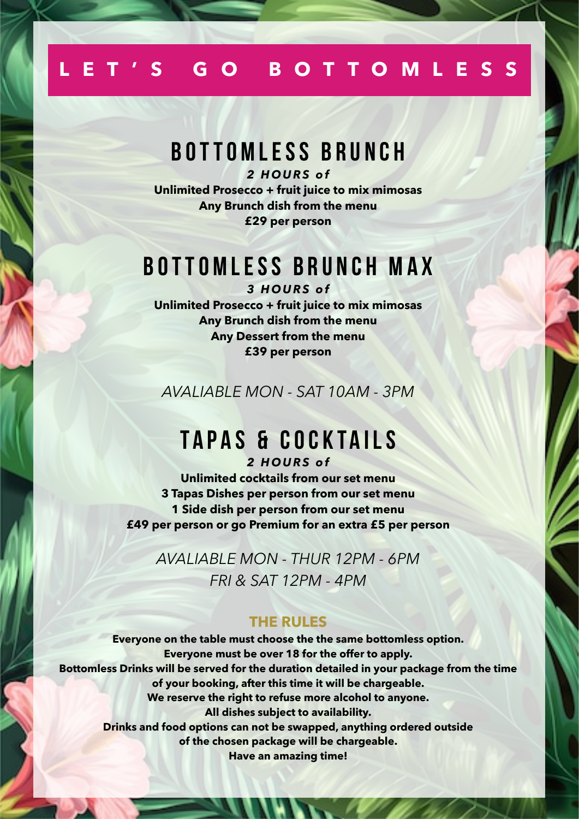## **LET'S GO BOTTOMLESS**

## **BOTTOMLESS BRUNCH**

*2 HOURS of* **Unlimited Prosecco + fruit juice to mix mimosas Any Brunch dish from the menu £29 per person**

# **BOTTOMLESS BRUNCH MAX**

*3 HOURS of* **Unlimited Prosecco + fruit juice to mix mimosas Any Brunch dish from the menu Any Dessert from the menu £39 per person**

*AVALIABLE MON - SAT 10AM - 3PM*

# **TAPAS & COCKTAILS**

*2 HOURS of* **Unlimited cocktails from our set menu 3 Tapas Dishes per person from our set menu 1 Side dish per person from our set menu £49 per person or go Premium for an extra £5 per person**

*AVALIABLE MON - THUR 12PM - 6PM FRI & SAT 12PM - 4PM*

#### **THE RULES**

**Everyone on the table must choose the the same bottomless option. Everyone must be over 18 for the offer to apply. Bottomless Drinks will be served for the duration detailed in your package from the time of your booking, after this time it will be chargeable. We reserve the right to refuse more alcohol to anyone. All dishes subject to availability. Drinks and food options can not be swapped, anything ordered outside of the chosen package will be chargeable. Have an amazing time!**